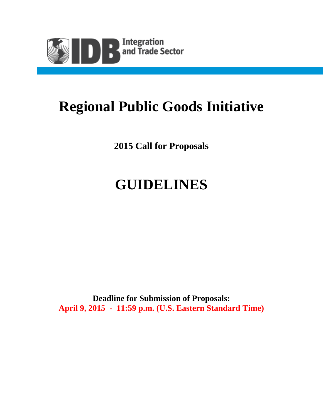

# **Regional Public Goods Initiative**

**2015 Call for Proposals**

# **GUIDELINES**

**Deadline for Submission of Proposals: April 9, 2015 - 11:59 p.m. (U.S. Eastern Standard Time)**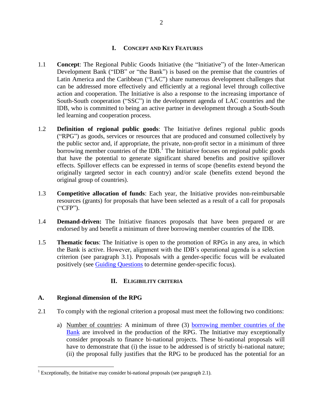#### **I. CONCEPT AND KEY FEATURES**

- 1.1 **Concept**: The Regional Public Goods Initiative (the "Initiative") of the Inter-American Development Bank ("IDB" or "the Bank") is based on the premise that the countries of Latin America and the Caribbean ("LAC") share numerous development challenges that can be addressed more effectively and efficiently at a regional level through collective action and cooperation. The Initiative is also a response to the increasing importance of South-South cooperation ("SSC") in the development agenda of LAC countries and the IDB, who is committed to being an active partner in development through a South-South led learning and cooperation process.
- 1.2 **Definition of regional public goods**: The Initiative defines regional public goods ("RPG") as goods, services or resources that are produced and consumed collectively by the public sector and, if appropriate, the private, non-profit sector in a minimum of three borrowing member countries of the IDB.<sup>1</sup> The Initiative focuses on regional public goods that have the potential to generate significant shared benefits and positive spillover effects. Spillover effects can be expressed in terms of scope (benefits extend beyond the originally targeted sector in each country) and/or scale (benefits extend beyond the original group of countries).
- 1.3 **Competitive allocation of funds**: Each year, the Initiative provides non-reimbursable resources (grants) for proposals that have been selected as a result of a call for proposals ("CFP").
- 1.4 **Demand-driven:** The Initiative finances proposals that have been prepared or are endorsed by and benefit a minimum of three borrowing member countries of the IDB.
- 1.5 **Thematic focus**: The Initiative is open to the promotion of RPGs in any area, in which the Bank is active. However, alignment with the IDB's operational agenda is a selection criterion (see paragraph 3.1). Proposals with a gender-specific focus will be evaluated positively (see [Guiding Questions](http://www.iadb.org/document.cfm?id=35349526) to determine gender-specific focus).

#### **II. ELIGIBILITY CRITERIA**

#### **A. Regional dimension of the RPG**

 $\overline{a}$ 

- 2.1 To comply with the regional criterion a proposal must meet the following two conditions:
	- a) Number of countries: A minimum of three (3) [borrowing member countries of the](http://www.iadb.org/en/countries/select-a-country,1000.html)  [Bank](http://www.iadb.org/en/countries/select-a-country,1000.html) are involved in the production of the RPG. The Initiative may exceptionally consider proposals to finance bi-national projects. These bi-national proposals will have to demonstrate that (i) the issue to be addressed is of strictly bi-national nature; (ii) the proposal fully justifies that the RPG to be produced has the potential for an

<sup>&</sup>lt;sup>1</sup> Exceptionally, the Initiative may consider bi-national proposals (see paragraph 2.1).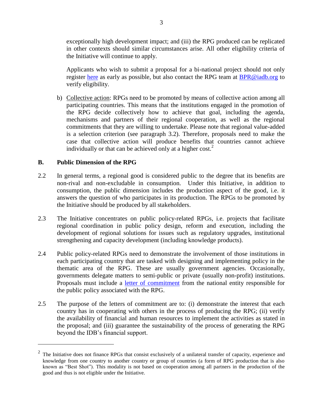exceptionally high development impact; and (iii) the RPG produced can be replicated in other contexts should similar circumstances arise. All other eligibility criteria of the Initiative will continue to apply.

Applicants who wish to submit a proposal for a bi-national project should not only register [here](http://www.iadb.org/en/topics/regional-integration/call-for-proposals-from-regional-public-goods/rpg-initiative-register-and-submit,5866.html) as early as possible, but also contact the RPG team at **BPR@iadb.org** to verify eligibility.

b) Collective action: RPGs need to be promoted by means of collective action among all participating countries. This means that the institutions engaged in the promotion of the RPG decide collectively how to achieve that goal, including the agenda, mechanisms and partners of their regional cooperation, as well as the regional commitments that they are willing to undertake. Please note that regional value-added is a selection criterion (see paragraph 3.2). Therefore, proposals need to make the case that collective action will produce benefits that countries cannot achieve individually or that can be achieved only at a higher cost.<sup>2</sup>

# **B. Public Dimension of the RPG**

 $\overline{a}$ 

- 2.2 In general terms, a regional good is considered public to the degree that its benefits are non-rival and non-excludable in consumption. Under this Initiative, in addition to consumption, the public dimension includes the production aspect of the good, i.e. it answers the question of who participates in its production. The RPGs to be promoted by the Initiative should be produced by all stakeholders.
- 2.3 The Initiative concentrates on public policy-related RPGs, i.e. projects that facilitate regional coordination in public policy design, reform and execution, including the development of regional solutions for issues such as regulatory upgrades, institutional strengthening and capacity development (including knowledge products).
- 2.4 Public policy-related RPGs need to demonstrate the involvement of those institutions in each participating country that are tasked with designing and implementing policy in the thematic area of the RPG. These are usually government agencies. Occasionally, governments delegate matters to semi-public or private (usually non-profit) institutions. Proposals must include a [letter of commitment](http://www.iadb.org/document.cfm?id=35386756) from the national entity responsible for the public policy associated with the RPG.
- 2.5 The purpose of the letters of commitment are to: (i) demonstrate the interest that each country has in cooperating with others in the process of producing the RPG; (ii) verify the availability of financial and human resources to implement the activities as stated in the proposal; and (iii) guarantee the sustainability of the process of generating the RPG beyond the IDB's financial support.

<sup>2</sup> The Initiative does not finance RPGs that consist exclusively of a unilateral transfer of capacity, experience and knowledge from one country to another country or group of countries (a form of RPG production that is also known as "Best Shot"). This modality is not based on cooperation among all partners in the production of the good and thus is not eligible under the Initiative.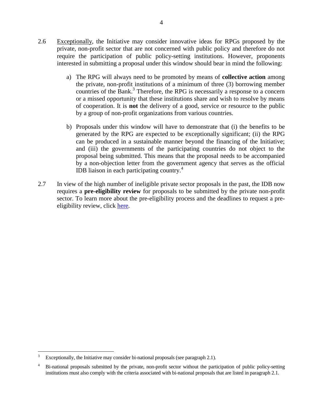- 2.6 Exceptionally, the Initiative may consider innovative ideas for RPGs proposed by the private, non-profit sector that are not concerned with public policy and therefore do not require the participation of public policy-setting institutions. However, proponents interested in submitting a proposal under this window should bear in mind the following:
	- a) The RPG will always need to be promoted by means of **collective action** among the private, non-profit institutions of a minimum of three (3) borrowing member countries of the Bank. 3 Therefore, the RPG is necessarily a response to a concern or a missed opportunity that these institutions share and wish to resolve by means of cooperation. It is **not** the delivery of a good, service or resource to the public by a group of non-profit organizations from various countries.
	- b) Proposals under this window will have to demonstrate that (i) the benefits to be generated by the RPG are expected to be exceptionally significant; (ii) the RPG can be produced in a sustainable manner beyond the financing of the Initiative; and (iii) the governments of the participating countries do not object to the proposal being submitted. This means that the proposal needs to be accompanied by a non-objection letter from the government agency that serves as the official IDB liaison in each participating country. 4
- 2.7 In view of the high number of ineligible private sector proposals in the past, the IDB now requires a **pre-eligibility review** for proposals to be submitted by the private non-profit sector. To learn more about the pre-eligibility process and the deadlines to request a preeligibility review, click [here.](pcdocs://IDBDOCS/39275239/R)

 $\overline{a}$ Exceptionally, the Initiative may consider bi-national proposals (see paragraph 2.1).

<sup>&</sup>lt;sup>4</sup> Bi-national proposals submitted by the private, non-profit sector without the participation of public policy-setting institutions must also comply with the criteria associated with bi-national proposals that are listed in paragraph 2.1.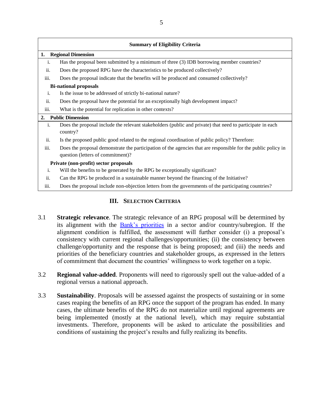| <b>Summary of Eligibility Criteria</b> |                                                                                                                                                    |  |  |  |  |  |
|----------------------------------------|----------------------------------------------------------------------------------------------------------------------------------------------------|--|--|--|--|--|
| <b>Regional Dimension</b><br>1.        |                                                                                                                                                    |  |  |  |  |  |
| 1.                                     | Has the proposal been submitted by a minimum of three (3) IDB borrowing member countries?                                                          |  |  |  |  |  |
| ii.                                    | Does the proposed RPG have the characteristics to be produced collectively?                                                                        |  |  |  |  |  |
| iii.                                   | Does the proposal indicate that the benefits will be produced and consumed collectively?                                                           |  |  |  |  |  |
| <b>Bi-national proposals</b>           |                                                                                                                                                    |  |  |  |  |  |
| i.                                     | Is the issue to be addressed of strictly bi-national nature?                                                                                       |  |  |  |  |  |
| ii.                                    | Does the proposal have the potential for an exceptionally high development impact?                                                                 |  |  |  |  |  |
| iii.                                   | What is the potential for replication in other contexts?                                                                                           |  |  |  |  |  |
| <b>Public Dimension</b><br>2.          |                                                                                                                                                    |  |  |  |  |  |
| i.                                     | Does the proposal include the relevant stakeholders (public and private) that need to participate in each<br>country?                              |  |  |  |  |  |
| ii.                                    | Is the proposed public good related to the regional coordination of public policy? Therefore:                                                      |  |  |  |  |  |
| iii.                                   | Does the proposal demonstrate the participation of the agencies that are responsible for the public policy in<br>question (letters of commitment)? |  |  |  |  |  |
|                                        | Private (non-profit) sector proposals                                                                                                              |  |  |  |  |  |
| i.                                     | Will the benefits to be generated by the RPG be exceptionally significant?                                                                         |  |  |  |  |  |
| ii.                                    | Can the RPG be produced in a sustainable manner beyond the financing of the Initiative?                                                            |  |  |  |  |  |
| iii.                                   | Does the proposal include non-objection letters from the governments of the participating countries?                                               |  |  |  |  |  |

# **III. SELECTION CRITERIA**

- 3.1 **Strategic relevance**. The strategic relevance of an RPG proposal will be determined by its alignment with the [Bank's priorities](http://www.iadb.org/en/about-us/strategies,6185.html) in a sector and/or country/subregion. If the alignment condition is fulfilled, the assessment will further consider (i) a proposal's consistency with current regional challenges/opportunities; (ii) the consistency between challenge/opportunity and the response that is being proposed; and (iii) the needs and priorities of the beneficiary countries and stakeholder groups, as expressed in the letters of commitment that document the countries' willingness to work together on a topic.
- 3.2 **Regional value-added**. Proponents will need to rigorously spell out the value-added of a regional versus a national approach.
- 3.3 **Sustainability**. Proposals will be assessed against the prospects of sustaining or in some cases reaping the benefits of an RPG once the support of the program has ended. In many cases, the ultimate benefits of the RPG do not materialize until regional agreements are being implemented (mostly at the national level), which may require substantial investments. Therefore, proponents will be asked to articulate the possibilities and conditions of sustaining the project's results and fully realizing its benefits.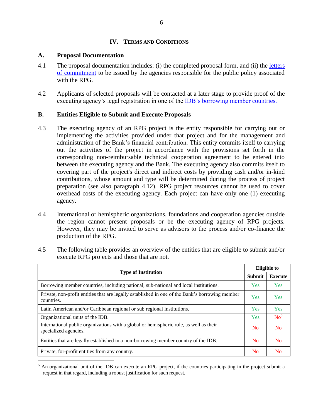#### **IV. TERMS AND CONDITIONS**

#### **A. Proposal Documentation**

- 4.1 The proposal documentation includes: (i) the completed proposal form, and (ii) the letters [of commitment](http://www.iadb.org/document.cfm?id=35386756) to be issued by the agencies responsible for the public policy associated with the RPG.
- 4.2 Applicants of selected proposals will be contacted at a later stage to provide proof of the executing agency's legal registration in one of the [IDB's borrowing member](http://www.iadb.org/en/countries/select-a-country,1000.html) countries.

# **B. Entities Eligible to Submit and Execute Proposals**

- 4.3 The executing agency of an RPG project is the entity responsible for carrying out or implementing the activities provided under that project and for the management and administration of the Bank's financial contribution. This entity commits itself to carrying out the activities of the project in accordance with the provisions set forth in the corresponding non-reimbursable technical cooperation agreement to be entered into between the executing agency and the Bank. The executing agency also commits itself to covering part of the project's direct and indirect costs by providing cash and/or in-kind contributions, whose amount and type will be determined during the process of project preparation (see also paragraph 4.12). RPG project resources cannot be used to cover overhead costs of the executing agency. Each project can have only one (1) executing agency.
- 4.4 International or hemispheric organizations, foundations and cooperation agencies outside the region cannot present proposals or be the executing agency of RPG projects. However, they may be invited to serve as advisors to the process and/or co-finance the production of the RPG.
- 4.5 The following table provides an overview of the entities that are eligible to submit and/or execute RPG projects and those that are not.

| <b>Type of Institution</b>                                                                                      |                | <b>Eligible to</b> |  |
|-----------------------------------------------------------------------------------------------------------------|----------------|--------------------|--|
|                                                                                                                 |                | <b>Execute</b>     |  |
| Borrowing member countries, including national, sub-national and local institutions.                            | <b>Yes</b>     | <b>Yes</b>         |  |
| Private, non-profit entities that are legally established in one of the Bank's borrowing member<br>countries.   | <b>Yes</b>     | <b>Yes</b>         |  |
| Latin American and/or Caribbean regional or sub regional institutions.                                          | Yes            | Yes                |  |
| Organizational units of the IDB.                                                                                | <b>Yes</b>     | No <sup>5</sup>    |  |
| International public organizations with a global or hemispheric role, as well as their<br>specialized agencies. | N <sub>0</sub> | N <sub>0</sub>     |  |
| Entities that are legally established in a non-borrowing member country of the IDB.                             | N <sub>0</sub> | <b>No</b>          |  |
| Private, for-profit entities from any country.                                                                  | No             | No                 |  |

 $\overline{a}$ <sup>5</sup> An organizational unit of the IDB can execute an RPG project, if the countries participating in the project submit a request in that regard, including a robust justification for such request.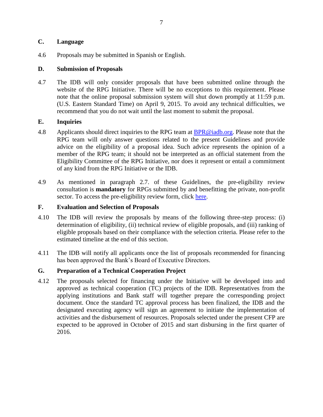#### **C. Language**

4.6 Proposals may be submitted in Spanish or English.

# **D. Submission of Proposals**

4.7 The IDB will only consider proposals that have been submitted online through the website of the RPG Initiative. There will be no exceptions to this requirement. Please note that the online proposal submission system will shut down promptly at 11:59 p.m. (U.S. Eastern Standard Time) on April 9, 2015. To avoid any technical difficulties, we recommend that you do not wait until the last moment to submit the proposal.

# **E. Inquiries**

- 4.8 Applicants should direct inquiries to the RPG team at **BPR@iadb.org.** Please note that the RPG team will only answer questions related to the present Guidelines and provide advice on the eligibility of a proposal idea. Such advice represents the opinion of a member of the RPG team; it should not be interpreted as an official statement from the Eligibility Committee of the RPG Initiative, nor does it represent or entail a commitment of any kind from the RPG Initiative or the IDB.
- 4.9 As mentioned in paragraph 2.7. of these Guidelines, the pre-eligibility review consultation is **mandatory** for RPGs submitted by and benefitting the private, non-profit sector. To access the pre-eligibility review form, click [here.](pcdocs://IDBDOCS/39275239/R)

# **F. Evaluation and Selection of Proposals**

- 4.10 The IDB will review the proposals by means of the following three-step process: (i) determination of eligibility, (ii) technical review of eligible proposals, and (iii) ranking of eligible proposals based on their compliance with the selection criteria. Please refer to the estimated timeline at the end of this section.
- 4.11 The IDB will notify all applicants once the list of proposals recommended for financing has been approved the Bank's Board of Executive Directors.

# **G. Preparation of a Technical Cooperation Project**

4.12 The proposals selected for financing under the Initiative will be developed into and approved as technical cooperation (TC) projects of the IDB. Representatives from the applying institutions and Bank staff will together prepare the corresponding project document. Once the standard TC approval process has been finalized, the IDB and the designated executing agency will sign an agreement to initiate the implementation of activities and the disbursement of resources. Proposals selected under the present CFP are expected to be approved in October of 2015 and start disbursing in the first quarter of 2016.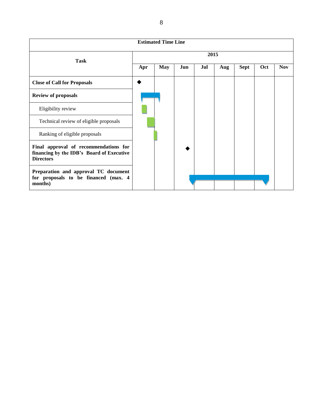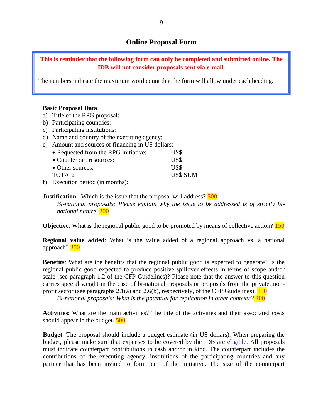# **Online Proposal Form**

#### **This is reminder that the following form can only be completed and submitted online. The IDB will not consider proposals sent via e-mail.**

The numbers indicate the maximum word count that the form will allow under each heading.

#### **Basic Proposal Data**

- a) Title of the RPG proposal:
- b) Participating countries:
- c) Participating institutions:
- d) Name and country of the executing agency:
- e) Amount and sources of financing in US dollars:

| • Requested from the RPG Initiative:                            | US\$            |
|-----------------------------------------------------------------|-----------------|
| • Counterpart resources:                                        | US\$            |
| • Other sources:                                                | US\$            |
| TOTAL:                                                          | <b>US\$ SUM</b> |
| $\mathbf{r}$ and $\mathbf{r}$ and $\mathbf{r}$ and $\mathbf{r}$ |                 |

f) Execution period (in months):

**Justification**: Which is the issue that the proposal will address?  $\frac{500}{ }$ 

*Bi-national proposals: Please explain why the issue to be addressed is of strictly binational nature.* 200

**Objective:** What is the regional public good to be promoted by means of collective action? **150** 

**Regional value added**: What is the value added of a regional approach vs. a national approach? 350

**Benefits**: What are the benefits that the regional public good is expected to generate? Is the regional public good expected to produce positive spillover effects in terms of scope and/or scale (see paragraph 1.2 of the CFP Guidelines)? Please note that the answer to this question carries special weight in the case of bi-national proposals or proposals from the private, nonprofit sector (see paragraphs 2.1(a) and 2.6(b), respectively, of the CFP Guidelines).  $\frac{350}{ }$ 

*Bi-national proposals: What is the potential for replication in other contexts?* 200

**Activities**: What are the main activities? The title of the activities and their associated costs should appear in the budget. **500** 

**Budget**: The proposal should include a budget estimate (in US dollars). When preparing the budget, please make sure that expenses to be covered by the IDB are [eligible.](http://www.iadb.org/document.cfm?id=36651662) All proposals must indicate counterpart contributions in cash and/or in kind. The counterpart includes the contributions of the executing agency, institutions of the participating countries and any partner that has been invited to form part of the initiative. The size of the counterpart